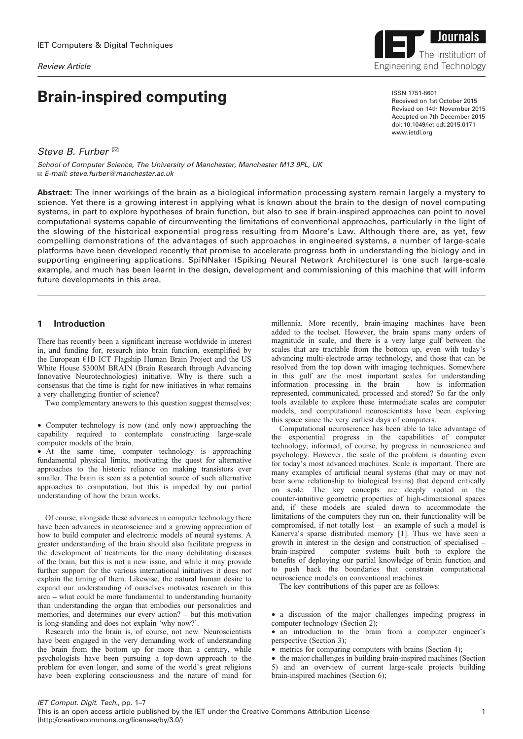Review Article

# Brain-inspired computing and the second on the Received on 1st

Steve B. Furber  $\boxtimes$ <br>School of Computer Science, The University of Manchester, Manchester M13 9PL, UK ⊠ E-mail: steve.furber@manchester.ac.uk

Abstract: The inner workings of the brain as a biological information processing system remain largely a mystery to science. Yet there is a growing interest in applying what is known about the brain to the design of novel computing systems, in part to explore hypotheses of brain function, but also to see if brain-inspired approaches can point to novel computational systems capable of circumventing the limitations of conventional approaches, particularly in the light of the slowing of the historical exponential progress resulting from Moore's Law. Although there are, as yet, few compelling demonstrations of the advantages of such approaches in engineered systems, a number of large-scale platforms have been developed recently that promise to accelerate progress both in understanding the biology and in supporting engineering applications. SpiNNaker (Spiking Neural Network Architecture) is one such large-scale example, and much has been learnt in the design, development and commissioning of this machine that will inform future developments in this area.

## 1 Introduction

There has recently been a significant increase worldwide in interest in, and funding for, research into brain function, exemplified by the European €1B ICT Flagship Human Brain Project and the US White House \$300M BRAIN (Brain Research through Advancing Innovative Neurotechnologies) initiative. Why is there such a consensus that the time is right for new initiatives in what remains a very challenging frontier of science?

Two complementary answers to this question suggest themselves:

• Computer technology is now (and only now) approaching the capability required to contemplate constructing large-scale computer models of the brain.

• At the same time, computer technology is approaching fundamental physical limits, motivating the quest for alternative approaches to the historic reliance on making transistors ever smaller. The brain is seen as a potential source of such alternative approaches to computation, but this is impeded by our partial understanding of how the brain works.

Of course, alongside these advances in computer technology there have been advances in neuroscience and a growing appreciation of how to build computer and electronic models of neural systems. A greater understanding of the brain should also facilitate progress in the development of treatments for the many debilitating diseases of the brain, but this is not a new issue, and while it may provide further support for the various international initiatives it does not explain the timing of them. Likewise, the natural human desire to expand our understanding of ourselves motivates research in this area – what could be more fundamental to understanding humanity than understanding the organ that embodies our personalities and memories, and determines our every action? – but this motivation is long-standing and does not explain 'why now?'.

Research into the brain is, of course, not new. Neuroscientists have been engaged in the very demanding work of understanding the brain from the bottom up for more than a century, while psychologists have been pursuing a top-down approach to the problem for even longer, and some of the world's great religions have been exploring consciousness and the nature of mind for



Received on 1st October 2015 Revised on 14th November 2015 Accepted on 7th December 2015 doi: 10.1049/iet-cdt.2015.0171 www.ietdl.org

millennia. More recently, brain-imaging machines have been added to the toolset. However, the brain spans many orders of magnitude in scale, and there is a very large gulf between the scales that are tractable from the bottom up, even with today's advancing multi-electrode array technology, and those that can be resolved from the top down with imaging techniques. Somewhere in this gulf are the most important scales for understanding information processing in the brain – how is information represented, communicated, processed and stored? So far the only tools available to explore these intermediate scales are computer models, and computational neuroscientists have been exploring this space since the very earliest days of computers.

Computational neuroscience has been able to take advantage of the exponential progress in the capabilities of computer technology, informed, of course, by progress in neuroscience and psychology. However, the scale of the problem is daunting even for today's most advanced machines. Scale is important. There are many examples of artificial neural systems (that may or may not bear some relationship to biological brains) that depend critically on scale. The key concepts are deeply rooted in the counter-intuitive geometric properties of high-dimensional spaces and, if these models are scaled down to accommodate the limitations of the computers they run on, their functionality will be compromised, if not totally lost – an example of such a model is Kanerva's sparse distributed memory [[1](#page-5-0)]. Thus we have seen a growth in interest in the design and construction of specialised – brain-inspired – computer systems built both to explore the benefits of deploying our partial knowledge of brain function and to push back the boundaries that constrain computational neuroscience models on conventional machines.

The key contributions of this paper are as follows:

• a discussion of the major challenges impeding progress in computer technology (Section 2);

• an introduction to the brain from a computer engineer's perspective (Section 3);

• the major challenges in building brain-inspired machines (Section 5) and an overview of current large-scale projects building brain-inspired machines (Section 6);

 $\bullet$  metrics for comparing computers with brains (Section 4);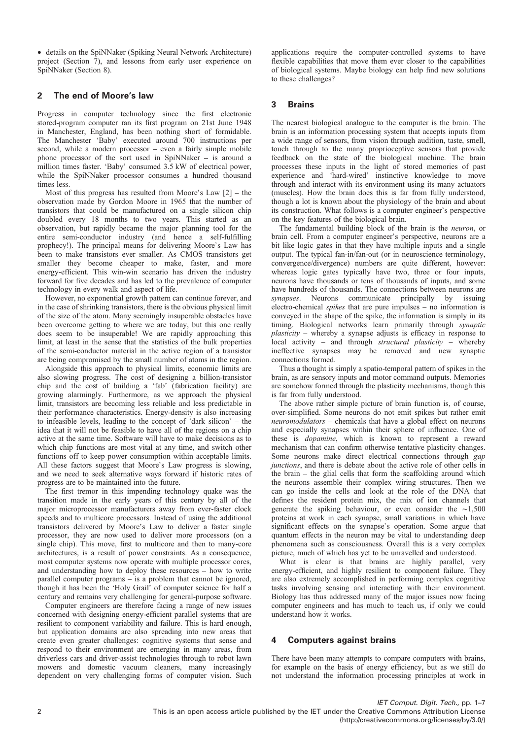† details on the SpiNNaker (Spiking Neural Network Architecture) project (Section 7), and lessons from early user experience on SpiNNaker (Section 8).

# 2 The end of Moore's law

Progress in computer technology since the first electronic stored-program computer ran its first program on 21st June 1948 in Manchester, England, has been nothing short of formidable. The Manchester 'Baby' executed around 700 instructions per second, while a modern processor – even a fairly simple mobile phone processor of the sort used in SpiNNaker – is around a million times faster. 'Baby' consumed 3.5 kW of electrical power, while the SpiNNaker processor consumes a hundred thousand times less.

Most of this progress has resulted from Moore's Law [[2](#page-5-0)] – the observation made by Gordon Moore in 1965 that the number of transistors that could be manufactured on a single silicon chip doubled every 18 months to two years. This started as an observation, but rapidly became the major planning tool for the entire semi-conductor industry (and hence a self-fulfilling prophecy!). The principal means for delivering Moore's Law has been to make transistors ever smaller. As CMOS transistors get smaller they become cheaper to make, faster, and more energy-efficient. This win-win scenario has driven the industry forward for five decades and has led to the prevalence of computer technology in every walk and aspect of life.

However, no exponential growth pattern can continue forever, and in the case of shrinking transistors, there is the obvious physical limit of the size of the atom. Many seemingly insuperable obstacles have been overcome getting to where we are today, but this one really does seem to be insuperable! We are rapidly approaching this limit, at least in the sense that the statistics of the bulk properties of the semi-conductor material in the active region of a transistor are being compromised by the small number of atoms in the region.

Alongside this approach to physical limits, economic limits are also slowing progress. The cost of designing a billion-transistor chip and the cost of building a 'fab' (fabrication facility) are growing alarmingly. Furthermore, as we approach the physical limit, transistors are becoming less reliable and less predictable in their performance characteristics. Energy-density is also increasing to infeasible levels, leading to the concept of 'dark silicon' – the idea that it will not be feasible to have all of the regions on a chip active at the same time. Software will have to make decisions as to which chip functions are most vital at any time, and switch other functions off to keep power consumption within acceptable limits. All these factors suggest that Moore's Law progress is slowing, and we need to seek alternative ways forward if historic rates of progress are to be maintained into the future.

The first tremor in this impending technology quake was the transition made in the early years of this century by all of the major microprocessor manufacturers away from ever-faster clock speeds and to multicore processors. Instead of using the additional transistors delivered by Moore's Law to deliver a faster single processor, they are now used to deliver more processors (on a single chip). This move, first to multicore and then to many-core architectures, is a result of power constraints. As a consequence, most computer systems now operate with multiple processor cores, and understanding how to deploy these resources – how to write parallel computer programs – is a problem that cannot be ignored, though it has been the 'Holy Grail' of computer science for half a century and remains very challenging for general-purpose software.

Computer engineers are therefore facing a range of new issues concerned with designing energy-efficient parallel systems that are resilient to component variability and failure. This is hard enough, but application domains are also spreading into new areas that create even greater challenges: cognitive systems that sense and respond to their environment are emerging in many areas, from driverless cars and driver-assist technologies through to robot lawn mowers and domestic vacuum cleaners, many increasingly dependent on very challenging forms of computer vision. Such

applications require the computer-controlled systems to have flexible capabilities that move them ever closer to the capabilities of biological systems. Maybe biology can help find new solutions to these challenges?

# 3 Brains

The nearest biological analogue to the computer is the brain. The brain is an information processing system that accepts inputs from a wide range of sensors, from vision through audition, taste, smell, touch through to the many proprioceptive sensors that provide feedback on the state of the biological machine. The brain processes these inputs in the light of stored memories of past experience and 'hard-wired' instinctive knowledge to move through and interact with its environment using its many actuators (muscles). How the brain does this is far from fully understood, though a lot is known about the physiology of the brain and about its construction. What follows is a computer engineer's perspective on the key features of the biological brain.

The fundamental building block of the brain is the neuron, or brain cell. From a computer engineer's perspective, neurons are a bit like logic gates in that they have multiple inputs and a single output. The typical fan-in/fan-out (or in neuroscience terminology, convergence/divergence) numbers are quite different, however: whereas logic gates typically have two, three or four inputs, neurons have thousands or tens of thousands of inputs, and some have hundreds of thousands. The connections between neurons are synapses. Neurons communicate principally by issuing electro-chemical spikes that are pure impulses – no information is conveyed in the shape of the spike, the information is simply in its timing. Biological networks learn primarily through synaptic plasticity – whereby a synapse adjusts is efficacy in response to local activity – and through structural plasticity – whereby ineffective synapses may be removed and new synaptic connections formed.

Thus a thought is simply a spatio-temporal pattern of spikes in the brain, as are sensory inputs and motor command outputs. Memories are somehow formed through the plasticity mechanisms, though this is far from fully understood.

The above rather simple picture of brain function is, of course, over-simplified. Some neurons do not emit spikes but rather emit neuromodulators – chemicals that have a global effect on neurons and especially synapses within their sphere of influence. One of these is dopamine, which is known to represent a reward mechanism that can confirm otherwise tentative plasticity changes. Some neurons make direct electrical connections through gap junctions, and there is debate about the active role of other cells in the brain – the glial cells that form the scaffolding around which the neurons assemble their complex wiring structures. Then we can go inside the cells and look at the role of the DNA that defines the resident protein mix, the mix of ion channels that generate the spiking behaviour, or even consider the ∼1,500 proteins at work in each synapse, small variations in which have significant effects on the synapse's operation. Some argue that quantum effects in the neuron may be vital to understanding deep phenomena such as consciousness. Overall this is a very complex picture, much of which has yet to be unravelled and understood.

What is clear is that brains are highly parallel, very energy-efficient, and highly resilient to component failure. They are also extremely accomplished in performing complex cognitive tasks involving sensing and interacting with their environment. Biology has thus addressed many of the major issues now facing computer engineers and has much to teach us, if only we could understand how it works.

# 4 Computers against brains

There have been many attempts to compare computers with brains, for example on the basis of energy efficiency, but as we still do not understand the information processing principles at work in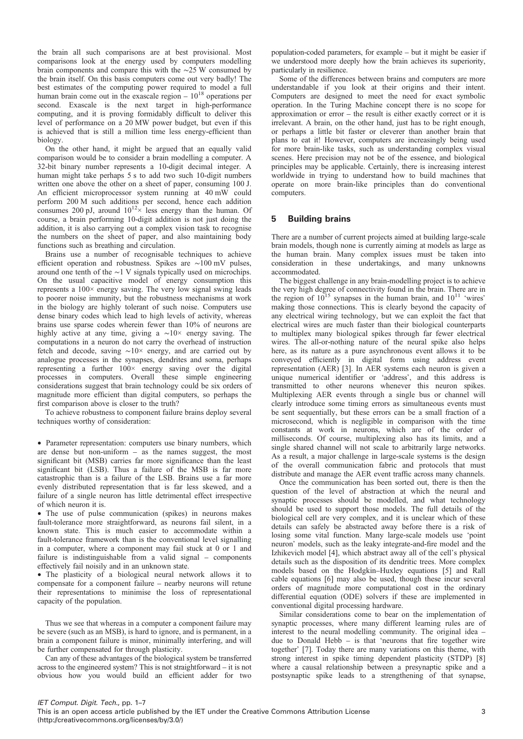the brain all such comparisons are at best provisional. Most comparisons look at the energy used by computers modelling brain components and compare this with the ∼25 W consumed by the brain itself. On this basis computers come out very badly! The best estimates of the computing power required to model a full human brain come out in the exascale region  $-10^{18}$  operations per second. Exascale is the next target in high-performance computing, and it is proving formidably difficult to deliver this level of performance on a 20 MW power budget, but even if this is achieved that is still a million time less energy-efficient than biology.

On the other hand, it might be argued that an equally valid comparison would be to consider a brain modelling a computer. A 32-bit binary number represents a 10-digit decimal integer. A human might take perhaps 5 s to add two such 10-digit numbers written one above the other on a sheet of paper, consuming 100 J. An efficient microprocessor system running at 40 mW could perform 200 M such additions per second, hence each addition consumes 200 pJ, around  $10^{12} \times$  less energy than the human. Of course, a brain performing 10-digit addition is not just doing the addition, it is also carrying out a complex vision task to recognise the numbers on the sheet of paper, and also maintaining body functions such as breathing and circulation.

Brains use a number of recognisable techniques to achieve efficient operation and robustness. Spikes are ∼100 mV pulses, around one tenth of the ∼1 V signals typically used on microchips. On the usual capacitive model of energy consumption this represents a 100× energy saving. The very low signal swing leads to poorer noise immunity, but the robustness mechanisms at work in the biology are highly tolerant of such noise. Computers use dense binary codes which lead to high levels of activity, whereas brains use sparse codes wherein fewer than 10% of neurons are highly active at any time, giving a ∼10× energy saving. The computations in a neuron do not carry the overhead of instruction fetch and decode, saving ∼10× energy, and are carried out by analogue processes in the synapses, dendrites and soma, perhaps representing a further 100× energy saving over the digital processes in computers. Overall these simple engineering considerations suggest that brain technology could be six orders of magnitude more efficient than digital computers, so perhaps the first comparison above is closer to the truth?

To achieve robustness to component failure brains deploy several techniques worthy of consideration:

• Parameter representation: computers use binary numbers, which are dense but non-uniform  $-$  as the names suggest, the most significant bit (MSB) carries far more significance than the least significant bit (LSB). Thus a failure of the MSB is far more catastrophic than is a failure of the LSB. Brains use a far more evenly distributed representation that is far less skewed, and a failure of a single neuron has little detrimental effect irrespective of which neuron it is.

† The use of pulse communication (spikes) in neurons makes fault-tolerance more straightforward, as neurons fail silent, in a known state. This is much easier to accommodate within a fault-tolerance framework than is the conventional level signalling in a computer, where a component may fail stuck at 0 or 1 and failure is indistinguishable from a valid signal – components effectively fail noisily and in an unknown state.

• The plasticity of a biological neural network allows it to compensate for a component failure – nearby neurons will retune their representations to minimise the loss of representational capacity of the population.

Thus we see that whereas in a computer a component failure may be severe (such as an MSB), is hard to ignore, and is permanent, in a brain a component failure is minor, minimally interfering, and will be further compensated for through plasticity.

Can any of these advantages of the biological system be transferred across to the engineered system? This is not straightforward – it is not obvious how you would build an efficient adder for two population-coded parameters, for example – but it might be easier if we understood more deeply how the brain achieves its superiority, particularly in resilience.

Some of the differences between brains and computers are more understandable if you look at their origins and their intent. Computers are designed to meet the need for exact symbolic operation. In the Turing Machine concept there is no scope for approximation or error – the result is either exactly correct or it is irrelevant. A brain, on the other hand, just has to be right enough, or perhaps a little bit faster or cleverer than another brain that plans to eat it! However, computers are increasingly being used for more brain-like tasks, such as understanding complex visual scenes. Here precision may not be of the essence, and biological principles may be applicable. Certainly, there is increasing interest worldwide in trying to understand how to build machines that operate on more brain-like principles than do conventional computers.

## 5 Building brains

There are a number of current projects aimed at building large-scale brain models, though none is currently aiming at models as large as the human brain. Many complex issues must be taken into consideration in these undertakings, and many unknowns accommodated.

The biggest challenge in any brain-modelling project is to achieve the very high degree of connectivity found in the brain. There are in the region of  $10^{15}$  synapses in the human brain, and  $10^{11}$  'wires' making those connections. This is clearly beyond the capacity of any electrical wiring technology, but we can exploit the fact that electrical wires are much faster than their biological counterparts to multiplex many biological spikes through far fewer electrical wires. The all-or-nothing nature of the neural spike also helps here, as its nature as a pure asynchronous event allows it to be conveyed efficiently in digital form using address event representation (AER) [\[3\]](#page-5-0). In AER systems each neuron is given a unique numerical identifier or 'address', and this address is transmitted to other neurons whenever this neuron spikes. Multiplexing AER events through a single bus or channel will clearly introduce some timing errors as simultaneous events must be sent sequentially, but these errors can be a small fraction of a microsecond, which is negligible in comparison with the time constants at work in neurons, which are of the order of milliseconds. Of course, multiplexing also has its limits, and a single shared channel will not scale to arbitrarily large networks. As a result, a major challenge in large-scale systems is the design of the overall communication fabric and protocols that must distribute and manage the AER event traffic across many channels.

Once the communication has been sorted out, there is then the question of the level of abstraction at which the neural and synaptic processes should be modelled, and what technology should be used to support those models. The full details of the biological cell are very complex, and it is unclear which of these details can safely be abstracted away before there is a risk of losing some vital function. Many large-scale models use 'point neuron' models, such as the leaky integrate-and-fire model and the Izhikevich model [\[4\]](#page-5-0), which abstract away all of the cell's physical details such as the disposition of its dendritic trees. More complex models based on the Hodgkin–Huxley equations [[5](#page-5-0)] and Rall cable equations [\[6\]](#page-5-0) may also be used, though these incur several orders of magnitude more computational cost in the ordinary differential equation (ODE) solvers if these are implemented in conventional digital processing hardware.

Similar considerations come to bear on the implementation of synaptic processes, where many different learning rules are of interest to the neural modelling community. The original idea – due to Donald Hebb – is that 'neurons that fire together wire together' [\[7](#page-5-0)]. Today there are many variations on this theme, with strong interest in spike timing dependent plasticity (STDP) [\[8\]](#page-5-0) where a causal relationship between a presynaptic spike and a postsynaptic spike leads to a strengthening of that synapse,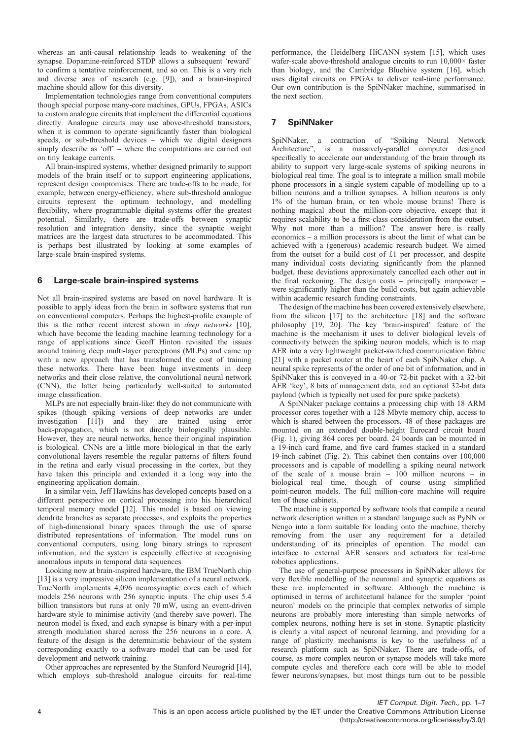whereas an anti-causal relationship leads to weakening of the synapse. Dopamine-reinforced STDP allows a subsequent 'reward' to confirm a tentative reinforcement, and so on. This is a very rich and diverse area of research (e.g. [[9](#page-6-0)]), and a brain-inspired machine should allow for this diversity.

Implementation technologies range from conventional computers though special purpose many-core machines, GPUs, FPGAs, ASICs to custom analogue circuits that implement the differential equations directly. Analogue circuits may use above-threshold transistors, when it is common to operate significantly faster than biological speeds, or sub-threshold devices – which we digital designers simply describe as 'off' – where the computations are carried out on tiny leakage currents.

All brain-inspired systems, whether designed primarily to support models of the brain itself or to support engineering applications, represent design compromises. There are trade-offs to be made, for example, between energy-efficiency, where sub-threshold analogue circuits represent the optimum technology, and modelling flexibility, where programmable digital systems offer the greatest potential. Similarly, there are trade-offs between synaptic resolution and integration density, since the synaptic weight matrices are the largest data structures to be accommodated. This is perhaps best illustrated by looking at some examples of large-scale brain-inspired systems.

## 6 Large-scale brain-inspired systems

Not all brain-inspired systems are based on novel hardware. It is possible to apply ideas from the brain in software systems that run on conventional computers. Perhaps the highest-profile example of this is the rather recent interest shown in deep networks [\[10](#page-6-0)], which have become the leading machine learning technology for a range of applications since Geoff Hinton revisited the issues around training deep multi-layer perceptrons (MLPs) and came up with a new approach that has transformed the cost of training these networks. There have been huge investments in deep networks and their close relative, the convolutional neural network (CNN), the latter being particularly well-suited to automated image classification.

MLPs are not especially brain-like: they do not communicate with spikes (though spiking versions of deep networks are under investigation [[11\]](#page-6-0)) and they are trained using error back-propagation, which is not directly biologically plausible. However, they are neural networks, hence their original inspiration is biological. CNNs are a little more biological in that the early convolutional layers resemble the regular patterns of filters found in the retina and early visual processing in the cortex, but they have taken this principle and extended it a long way into the engineering application domain.

In a similar vein, Jeff Hawkins has developed concepts based on a different perspective on cortical processing into his hierarchical temporal memory model [[12\]](#page-6-0). This model is based on viewing dendrite branches as separate processes, and exploits the properties of high-dimensional binary spaces through the use of sparse distributed representations of information. The model runs on conventional computers, using long binary strings to represent information, and the system is especially effective at recognising anomalous inputs in temporal data sequences.

Looking now at brain-inspired hardware, the IBM TrueNorth chip [\[13](#page-6-0)] is a very impressive silicon implementation of a neural network. TrueNorth implements 4,096 neurosynaptic cores each of which models 256 neurons with 256 synaptic inputs. The chip uses 5.4 billion transistors but runs at only 70 mW, using an event-driven hardware style to minimise activity (and thereby save power). The neuron model is fixed, and each synapse is binary with a per-input strength modulation shared across the 256 neurons in a core. A feature of the design is the deterministic behaviour of the system corresponding exactly to a software model that can be used for development and network training.

Other approaches are represented by the Stanford Neurogrid [\[14](#page-6-0)], which employs sub-threshold analogue circuits for real-time performance, the Heidelberg HiCANN system [[15\]](#page-6-0), which uses wafer-scale above-threshold analogue circuits to run 10,000× faster than biology, and the Cambridge Bluehive system [[16\]](#page-6-0), which uses digital circuits on FPGAs to deliver real-time performance. Our own contribution is the SpiNNaker machine, summarised in the next section.

# 7 SpiNNaker

SpiNNaker, a contraction of "Spiking Neural Network Architecture", is a massively-parallel computer specifically to accelerate our understanding of the brain through its ability to support very large-scale systems of spiking neurons in biological real time. The goal is to integrate a million small mobile phone processors in a single system capable of modelling up to a billion neurons and a trillion synapses. A billion neurons is only 1% of the human brain, or ten whole mouse brains! There is nothing magical about the million-core objective, except that it requires scalability to be a first-class consideration from the outset. Why not more than a million? The answer here is really economics – a million processors is about the limit of what can be achieved with a (generous) academic research budget. We aimed from the outset for a build cost of £1 per processor, and despite many individual costs deviating significantly from the planned budget, these deviations approximately cancelled each other out in the final reckoning. The design costs – principally manpower – were significantly higher than the build costs, but again achievable within academic research funding constraints.

The design of the machine has been covered extensively elsewhere, from the silicon [\[17](#page-6-0)] to the architecture [\[18](#page-6-0)] and the software philosophy [\[19](#page-6-0), [20\]](#page-6-0). The key 'brain-inspired' feature of the machine is the mechanism it uses to deliver biological levels of connectivity between the spiking neuron models, which is to map AER into a very lightweight packet-switched communication fabric [[21\]](#page-6-0) with a packet router at the heart of each SpiNNaker chip. A neural spike represents of the order of one bit of information, and in SpiNNaker this is conveyed in a 40-or 72-bit packet with a 32-bit AER 'key', 8 bits of management data, and an optional 32-bit data payload (which is typically not used for pure spike packets).

A SpiNNaker package contains a processing chip with 18 ARM processor cores together with a 128 Mbyte memory chip, access to which is shared between the processors. 48 of these packages are mounted on an extended double-height Eurocard circuit board (Fig. [1\)](#page-4-0), giving 864 cores per board. 24 boards can be mounted in a 19-inch card frame, and five card frames stacked in a standard 19-inch cabinet (Fig. [2\)](#page-5-0). This cabinet then contains over 100,000 processors and is capable of modelling a spiking neural network of the scale of a mouse brain – 100 million neurons – in biological real time, though of course using simplified point-neuron models. The full million-core machine will require ten of these cabinets.

The machine is supported by software tools that compile a neural network description written in a standard language such as PyNN or Nengo into a form suitable for loading onto the machine, thereby removing from the user any requirement for a detailed understanding of its principles of operation. The model can interface to external AER sensors and actuators for real-time robotics applications.

The use of general-purpose processors in SpiNNaker allows for very flexible modelling of the neuronal and synaptic equations as these are implemented in software. Although the machine is optimised in terms of architectural balance for the simpler 'point neuron' models on the principle that complex networks of simple neurons are probably more interesting than simple networks of complex neurons, nothing here is set in stone. Synaptic plasticity is clearly a vital aspect of neuronal learning, and providing for a range of plasticity mechanisms is key to the usefulness of a research platform such as SpiNNaker. There are trade-offs, of course, as more complex neuron or synapse models will take more compute cycles and therefore each core will be able to model fewer neurons/synapses, but most things turn out to be possible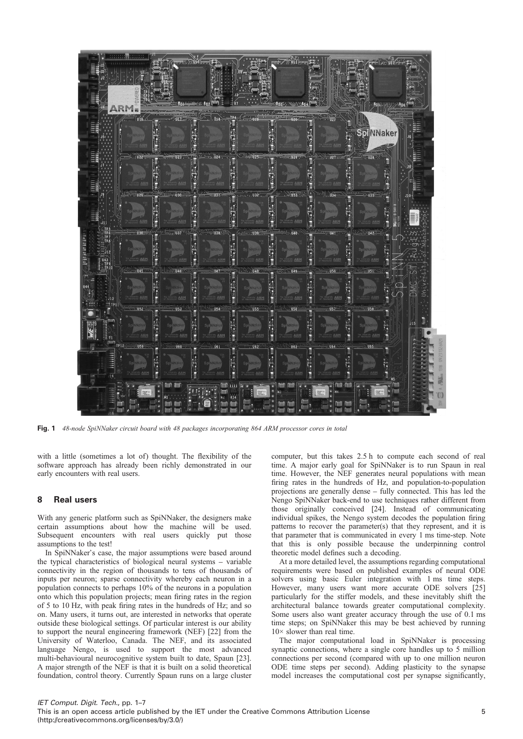<span id="page-4-0"></span>

Fig. 1 48-node SpiNNaker circuit board with 48 packages incorporating 864 ARM processor cores in total

with a little (sometimes a lot of) thought. The flexibility of the software approach has already been richly demonstrated in our early encounters with real users.

## 8 Real users

With any generic platform such as SpiNNaker, the designers make certain assumptions about how the machine will be used. Subsequent encounters with real users quickly put those assumptions to the test!

In SpiNNaker's case, the major assumptions were based around the typical characteristics of biological neural systems – variable connectivity in the region of thousands to tens of thousands of inputs per neuron; sparse connectivity whereby each neuron in a population connects to perhaps 10% of the neurons in a population onto which this population projects; mean firing rates in the region of 5 to 10 Hz, with peak firing rates in the hundreds of Hz; and so on. Many users, it turns out, are interested in networks that operate outside these biological settings. Of particular interest is our ability to support the neural engineering framework (NEF) [[22\]](#page-6-0) from the University of Waterloo, Canada. The NEF, and its associated language Nengo, is used to support the most advanced multi-behavioural neurocognitive system built to date, Spaun [\[23](#page-6-0)]. A major strength of the NEF is that it is built on a solid theoretical foundation, control theory. Currently Spaun runs on a large cluster

computer, but this takes 2.5 h to compute each second of real time. A major early goal for SpiNNaker is to run Spaun in real time. However, the NEF generates neural populations with mean firing rates in the hundreds of Hz, and population-to-population projections are generally dense – fully connected. This has led the Nengo SpiNNaker back-end to use techniques rather different from those originally conceived [[24\]](#page-6-0). Instead of communicating individual spikes, the Nengo system decodes the population firing patterns to recover the parameter(s) that they represent, and it is that parameter that is communicated in every 1 ms time-step. Note that this is only possible because the underpinning control theoretic model defines such a decoding.

At a more detailed level, the assumptions regarding computational requirements were based on published examples of neural ODE solvers using basic Euler integration with 1 ms time steps. However, many users want more accurate ODE solvers [[25\]](#page-6-0) particularly for the stiffer models, and these inevitably shift the architectural balance towards greater computational complexity. Some users also want greater accuracy through the use of 0.1 ms time steps; on SpiNNaker this may be best achieved by running  $10\times$  slower than real time.

The major computational load in SpiNNaker is processing synaptic connections, where a single core handles up to 5 million connections per second (compared with up to one million neuron ODE time steps per second). Adding plasticity to the synapse model increases the computational cost per synapse significantly,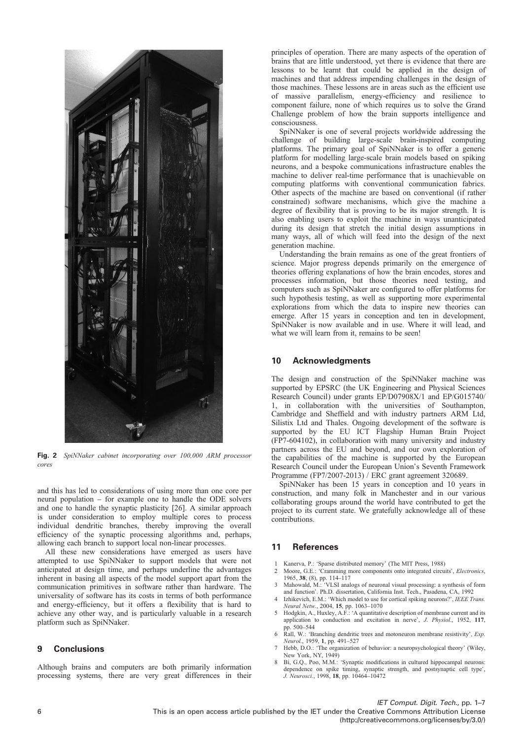<span id="page-5-0"></span>

Fig. 2 SpiNNaker cabinet incorporating over 100,000 ARM processor cores

and this has led to considerations of using more than one core per neural population – for example one to handle the ODE solvers and one to handle the synaptic plasticity [[26\]](#page-6-0). A similar approach is under consideration to employ multiple cores to process individual dendritic branches, thereby improving the overall efficiency of the synaptic processing algorithms and, perhaps, allowing each branch to support local non-linear processes.

All these new considerations have emerged as users have attempted to use SpiNNaker to support models that were not anticipated at design time, and perhaps underline the advantages inherent in basing all aspects of the model support apart from the communication primitives in software rather than hardware. The universality of software has its costs in terms of both performance and energy-efficiency, but it offers a flexibility that is hard to achieve any other way, and is particularly valuable in a research platform such as SpiNNaker.

## 9 Conclusions

Although brains and computers are both primarily information processing systems, there are very great differences in their

principles of operation. There are many aspects of the operation of brains that are little understood, yet there is evidence that there are lessons to be learnt that could be applied in the design of machines and that address impending challenges in the design of those machines. These lessons are in areas such as the efficient use of massive parallelism, energy-efficiency and resilience to component failure, none of which requires us to solve the Grand Challenge problem of how the brain supports intelligence and consciousness.

SpiNNaker is one of several projects worldwide addressing the challenge of building large-scale brain-inspired computing platforms. The primary goal of SpiNNaker is to offer a generic platform for modelling large-scale brain models based on spiking neurons, and a bespoke communications infrastructure enables the machine to deliver real-time performance that is unachievable on computing platforms with conventional communication fabrics. Other aspects of the machine are based on conventional (if rather constrained) software mechanisms, which give the machine a degree of flexibility that is proving to be its major strength. It is also enabling users to exploit the machine in ways unanticipated during its design that stretch the initial design assumptions in many ways, all of which will feed into the design of the next generation machine.

Understanding the brain remains as one of the great frontiers of science. Major progress depends primarily on the emergence of theories offering explanations of how the brain encodes, stores and processes information, but those theories need testing, and computers such as SpiNNaker are configured to offer platforms for such hypothesis testing, as well as supporting more experimental explorations from which the data to inspire new theories can emerge. After 15 years in conception and ten in development, SpiNNaker is now available and in use. Where it will lead, and what we will learn from it, remains to be seen!

## 10 Acknowledgments

The design and construction of the SpiNNaker machine was supported by EPSRC (the UK Engineering and Physical Sciences Research Council) under grants EP/D07908X/1 and EP/G015740/ 1, in collaboration with the universities of Southampton, Cambridge and Sheffield and with industry partners ARM Ltd, Silistix Ltd and Thales. Ongoing development of the software is supported by the EU ICT Flagship Human Brain Project (FP7-604102), in collaboration with many university and industry partners across the EU and beyond, and our own exploration of the capabilities of the machine is supported by the European Research Council under the European Union's Seventh Framework Programme (FP7/2007-2013) / ERC grant agreement 320689.

SpiNNaker has been 15 years in conception and 10 years in construction, and many folk in Manchester and in our various collaborating groups around the world have contributed to get the project to its current state. We gratefully acknowledge all of these contributions.

## 11 References

- 1 Kanerva, P.: 'Sparse distributed memory' (The MIT Press, 1988)
- Moore, G.E.: 'Cramming more components onto integrated circuits', Electronics, 1965, 38, (8), pp. 114–117 3 Mahowald, M.: 'VLSI analogs of neuronal visual processing: a synthesis of form
- and function'. Ph.D. dissertation, California Inst. Tech., Pasadena, CA, 1992
- Izhikevich, E.M.: 'Which model to use for cortical spiking neurons?', IEEE Trans. Neural Netw., 2004, 15, pp. 1063–1070
- 5 Hodgkin, A., Huxley, A.F.: 'A quantitative description of membrane current and its application to conduction and excitation in nerve', J. Physiol., 1952, 117, pp. 500–544
- 6 Rall, W.: 'Branching dendritic trees and motoneuron membrane resistivity', Exp. Neurol., 1959, 1, pp. 491–527
- 7 Hebb, D.O.: 'The organization of behavior: a neuropsychological theory' (Wiley, New York, NY, 1949)
- 8 Bi, G.Q., Poo, M.M.: 'Synaptic modifications in cultured hippocampal neurons: dependence on spike timing, synaptic strength, and postsynaptic cell type', J. Neurosci., 1998, 18, pp. 10464–10472